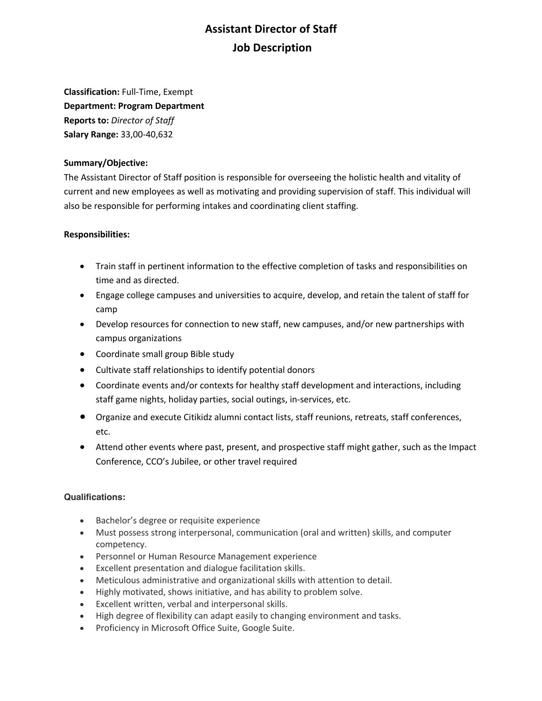## **Assistant Director of Staff Job Description**

**Classification:** Full-Time, Exempt **Department: Program Department Reports to:** *Director of Staff* **Salary Range:** 33,00-40,632

## **Summary/Objective:**

The Assistant Director of Staff position is responsible for overseeing the holistic health and vitality of current and new employees as well as motivating and providing supervision of staff. This individual will also be responsible for performing intakes and coordinating client staffing.

## **Responsibilities:**

- Train staff in pertinent information to the effective completion of tasks and responsibilities on time and as directed.
- Engage college campuses and universities to acquire, develop, and retain the talent of staff for camp
- Develop resources for connection to new staff, new campuses, and/or new partnerships with campus organizations
- Coordinate small group Bible study
- Cultivate staff relationships to identify potential donors
- Coordinate events and/or contexts for healthy staff development and interactions, including staff game nights, holiday parties, social outings, in-services, etc.
- Organize and execute Citikidz alumni contact lists, staff reunions, retreats, staff conferences, etc.
- Attend other events where past, present, and prospective staff might gather, such as the Impact Conference, CCO's Jubilee, or other travel required

## **Qualifications:**

- Bachelor's degree or requisite experience
- Must possess strong interpersonal, communication (oral and written) skills, and computer competency.
- Personnel or Human Resource Management experience
- Excellent presentation and dialogue facilitation skills.
- Meticulous administrative and organizational skills with attention to detail.
- Highly motivated, shows initiative, and has ability to problem solve.
- Excellent written, verbal and interpersonal skills.
- High degree of flexibility can adapt easily to changing environment and tasks.
- Proficiency in Microsoft Office Suite, Google Suite.